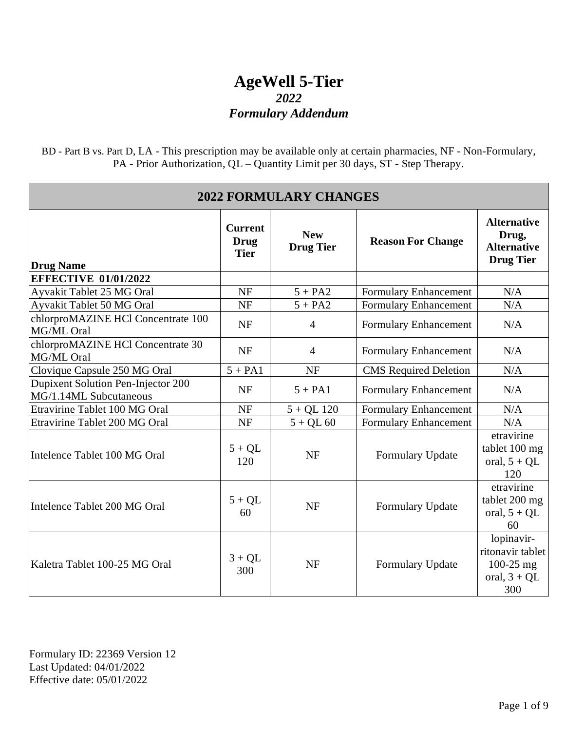BD - Part B vs. Part D, LA - This prescription may be available only at certain pharmacies, NF - Non-Formulary, PA - Prior Authorization, QL – Quantity Limit per 30 days, ST - Step Therapy.

| <b>2022 FORMULARY CHANGES</b>                                |                                              |                                |                              |                                                                       |  |
|--------------------------------------------------------------|----------------------------------------------|--------------------------------|------------------------------|-----------------------------------------------------------------------|--|
| <b>Drug Name</b>                                             | <b>Current</b><br><b>Drug</b><br><b>Tier</b> | <b>New</b><br><b>Drug Tier</b> | <b>Reason For Change</b>     | <b>Alternative</b><br>Drug,<br><b>Alternative</b><br><b>Drug Tier</b> |  |
| <b>EFFECTIVE 01/01/2022</b>                                  |                                              |                                |                              |                                                                       |  |
| Ayvakit Tablet 25 MG Oral                                    | <b>NF</b>                                    | $5 + PA2$                      | Formulary Enhancement        | N/A                                                                   |  |
| Ayvakit Tablet 50 MG Oral                                    | <b>NF</b>                                    | $5 + PA2$                      | <b>Formulary Enhancement</b> | N/A                                                                   |  |
| chlorproMAZINE HCl Concentrate 100<br>MG/ML Oral             | <b>NF</b>                                    | $\overline{4}$                 | Formulary Enhancement        | N/A                                                                   |  |
| chlorproMAZINE HCl Concentrate 30<br>MG/ML Oral              | <b>NF</b>                                    | $\overline{4}$                 | Formulary Enhancement        | N/A                                                                   |  |
| Clovique Capsule 250 MG Oral                                 | $5 + PA1$                                    | <b>NF</b>                      | <b>CMS</b> Required Deletion | N/A                                                                   |  |
| Dupixent Solution Pen-Injector 200<br>MG/1.14ML Subcutaneous | <b>NF</b>                                    | $5 + PA1$                      | Formulary Enhancement        | N/A                                                                   |  |
| Etravirine Tablet 100 MG Oral                                | <b>NF</b>                                    | $5 + QL$ 120                   | <b>Formulary Enhancement</b> | N/A                                                                   |  |
| Etravirine Tablet 200 MG Oral                                | <b>NF</b>                                    | $5 + QL 60$                    | <b>Formulary Enhancement</b> | N/A                                                                   |  |
| Intelence Tablet 100 MG Oral                                 | $5 + QL$<br>120                              | <b>NF</b>                      | Formulary Update             | etravirine<br>tablet 100 mg<br>oral, $5 + QL$<br>120                  |  |
| Intelence Tablet 200 MG Oral                                 | $5 + QL$<br>60                               | <b>NF</b>                      | Formulary Update             | etravirine<br>tablet 200 mg<br>oral, $5 + QL$<br>60                   |  |
| Kaletra Tablet 100-25 MG Oral                                | $3 + QL$<br>300                              | <b>NF</b>                      | Formulary Update             | lopinavir-<br>ritonavir tablet<br>100-25 mg<br>oral, $3 + QL$<br>300  |  |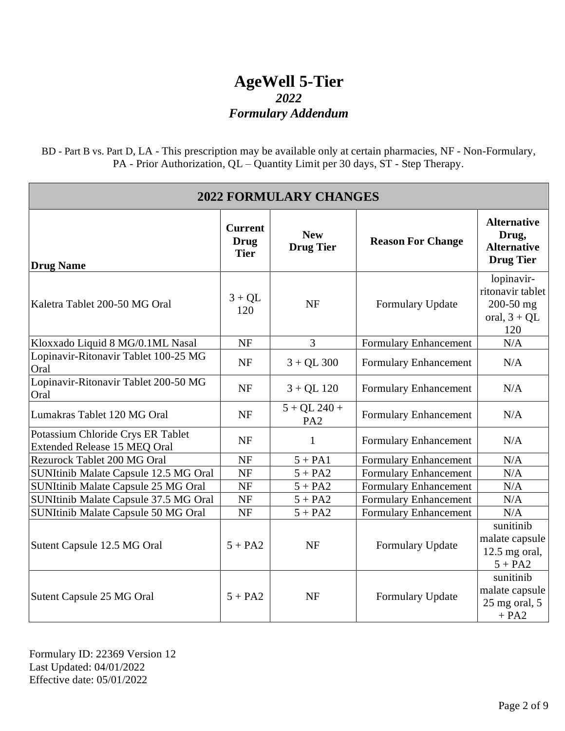BD - Part B vs. Part D, LA - This prescription may be available only at certain pharmacies, NF - Non-Formulary, PA - Prior Authorization, QL – Quantity Limit per 30 days, ST - Step Therapy.

| <b>2022 FORMULARY CHANGES</b>                                     |                                              |                                   |                              |                                                                       |
|-------------------------------------------------------------------|----------------------------------------------|-----------------------------------|------------------------------|-----------------------------------------------------------------------|
| <b>Drug Name</b>                                                  | <b>Current</b><br><b>Drug</b><br><b>Tier</b> | <b>New</b><br><b>Drug Tier</b>    | <b>Reason For Change</b>     | <b>Alternative</b><br>Drug,<br><b>Alternative</b><br><b>Drug Tier</b> |
| Kaletra Tablet 200-50 MG Oral                                     | $3 + QL$<br>120                              | <b>NF</b>                         | Formulary Update             | lopinavir-<br>ritonavir tablet<br>200-50 mg<br>oral, $3 + QL$<br>120  |
| Kloxxado Liquid 8 MG/0.1ML Nasal                                  | <b>NF</b>                                    | $\overline{3}$                    | Formulary Enhancement        | N/A                                                                   |
| Lopinavir-Ritonavir Tablet 100-25 MG<br>Oral                      | <b>NF</b>                                    | $3 + QL$ 300                      | Formulary Enhancement        | N/A                                                                   |
| Lopinavir-Ritonavir Tablet 200-50 MG<br>Oral                      | <b>NF</b>                                    | $3 + QL$ 120                      | Formulary Enhancement        | N/A                                                                   |
| Lumakras Tablet 120 MG Oral                                       | <b>NF</b>                                    | $5 + QL$ 240 +<br>PA <sub>2</sub> | Formulary Enhancement        | N/A                                                                   |
| Potassium Chloride Crys ER Tablet<br>Extended Release 15 MEQ Oral | <b>NF</b>                                    | $\mathbf{1}$                      | Formulary Enhancement        | N/A                                                                   |
| <b>Rezurock Tablet 200 MG Oral</b>                                | <b>NF</b>                                    | $5 + PA1$                         | Formulary Enhancement        | N/A                                                                   |
| SUNItinib Malate Capsule 12.5 MG Oral                             | NF                                           | $5 + PA2$                         | Formulary Enhancement        | N/A                                                                   |
| SUNItinib Malate Capsule 25 MG Oral                               | <b>NF</b>                                    | $5 + PA2$                         | <b>Formulary Enhancement</b> | N/A                                                                   |
| SUNItinib Malate Capsule 37.5 MG Oral                             | <b>NF</b>                                    | $5 + PA2$                         | Formulary Enhancement        | N/A                                                                   |
| SUNItinib Malate Capsule 50 MG Oral                               | <b>NF</b>                                    | $5 + PA2$                         | Formulary Enhancement        | N/A                                                                   |
| Sutent Capsule 12.5 MG Oral                                       | $5 + PA2$                                    | <b>NF</b>                         | Formulary Update             | sunitinib<br>malate capsule<br>$12.5$ mg oral,<br>$5 + PA2$           |
| Sutent Capsule 25 MG Oral                                         | $5 + PA2$                                    | <b>NF</b>                         | Formulary Update             | sunitinib<br>malate capsule<br>$25$ mg oral, $5$<br>$+ PA2$           |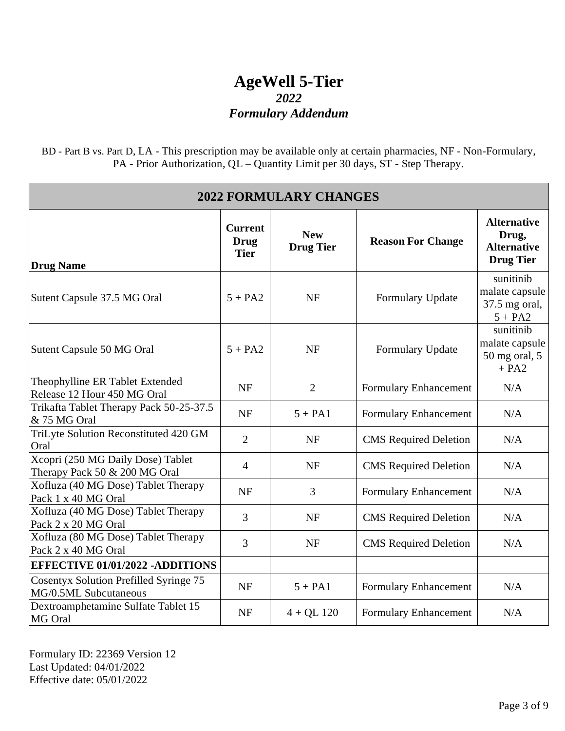BD - Part B vs. Part D, LA - This prescription may be available only at certain pharmacies, NF - Non-Formulary, PA - Prior Authorization, QL – Quantity Limit per 30 days, ST - Step Therapy.

| <b>2022 FORMULARY CHANGES</b>                                      |                                              |                                |                              |                                                                       |
|--------------------------------------------------------------------|----------------------------------------------|--------------------------------|------------------------------|-----------------------------------------------------------------------|
| <b>Drug Name</b>                                                   | <b>Current</b><br><b>Drug</b><br><b>Tier</b> | <b>New</b><br><b>Drug Tier</b> | <b>Reason For Change</b>     | <b>Alternative</b><br>Drug,<br><b>Alternative</b><br><b>Drug Tier</b> |
| Sutent Capsule 37.5 MG Oral                                        | $5 + PA2$                                    | <b>NF</b>                      | Formulary Update             | sunitinib<br>malate capsule<br>37.5 mg oral,<br>$5 + PA2$             |
| Sutent Capsule 50 MG Oral                                          | $5 + PA2$                                    | <b>NF</b>                      | Formulary Update             | sunitinib<br>malate capsule<br>50 mg oral, 5<br>$+ PA2$               |
| Theophylline ER Tablet Extended<br>Release 12 Hour 450 MG Oral     | <b>NF</b>                                    | $\overline{2}$                 | Formulary Enhancement        | N/A                                                                   |
| Trikafta Tablet Therapy Pack 50-25-37.5<br>& 75 MG Oral            | <b>NF</b>                                    | $5 + PA1$                      | Formulary Enhancement        | N/A                                                                   |
| TriLyte Solution Reconstituted 420 GM<br>Oral                      | $\overline{2}$                               | <b>NF</b>                      | <b>CMS</b> Required Deletion | N/A                                                                   |
| Xcopri (250 MG Daily Dose) Tablet<br>Therapy Pack 50 & 200 MG Oral | $\overline{4}$                               | <b>NF</b>                      | <b>CMS</b> Required Deletion | N/A                                                                   |
| Xofluza (40 MG Dose) Tablet Therapy<br>Pack 1 x 40 MG Oral         | <b>NF</b>                                    | 3                              | Formulary Enhancement        | N/A                                                                   |
| Xofluza (40 MG Dose) Tablet Therapy<br>Pack 2 x 20 MG Oral         | 3                                            | <b>NF</b>                      | <b>CMS</b> Required Deletion | N/A                                                                   |
| Xofluza (80 MG Dose) Tablet Therapy<br>Pack 2 x 40 MG Oral         | 3                                            | <b>NF</b>                      | <b>CMS</b> Required Deletion | N/A                                                                   |
| <b>EFFECTIVE 01/01/2022 -ADDITIONS</b>                             |                                              |                                |                              |                                                                       |
| Cosentyx Solution Prefilled Syringe 75<br>MG/0.5ML Subcutaneous    | <b>NF</b>                                    | $5 + PA1$                      | Formulary Enhancement        | N/A                                                                   |
| Dextroamphetamine Sulfate Tablet 15<br>MG Oral                     | <b>NF</b>                                    | $4 + QL$ 120                   | Formulary Enhancement        | N/A                                                                   |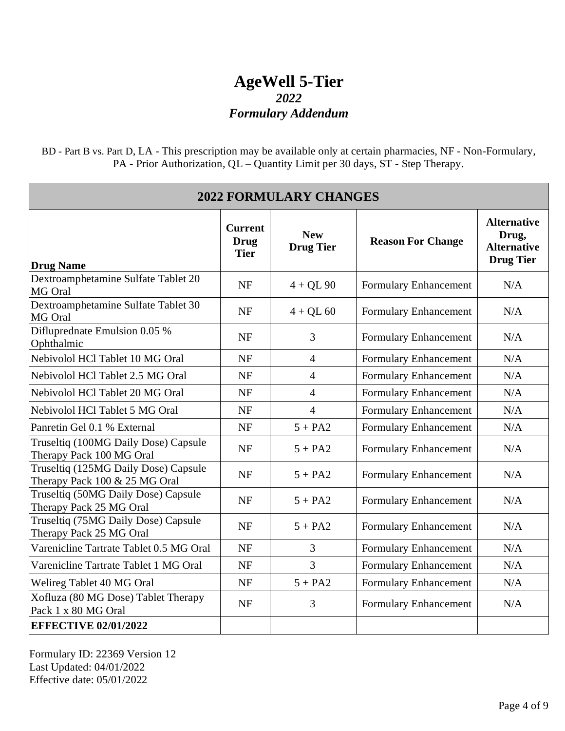BD - Part B vs. Part D, LA - This prescription may be available only at certain pharmacies, NF - Non-Formulary, PA - Prior Authorization, QL – Quantity Limit per 30 days, ST - Step Therapy.

| <b>2022 FORMULARY CHANGES</b>                                         |                                              |                                |                          |                                                                       |  |
|-----------------------------------------------------------------------|----------------------------------------------|--------------------------------|--------------------------|-----------------------------------------------------------------------|--|
| <b>Drug Name</b>                                                      | <b>Current</b><br><b>Drug</b><br><b>Tier</b> | <b>New</b><br><b>Drug Tier</b> | <b>Reason For Change</b> | <b>Alternative</b><br>Drug,<br><b>Alternative</b><br><b>Drug Tier</b> |  |
| Dextroamphetamine Sulfate Tablet 20<br>MG Oral                        | <b>NF</b>                                    | $4 + QL90$                     | Formulary Enhancement    | N/A                                                                   |  |
| Dextroamphetamine Sulfate Tablet 30<br>MG Oral                        | NF                                           | $4 + QL 60$                    | Formulary Enhancement    | N/A                                                                   |  |
| Difluprednate Emulsion 0.05 %<br>Ophthalmic                           | <b>NF</b>                                    | 3                              | Formulary Enhancement    | N/A                                                                   |  |
| Nebivolol HCl Tablet 10 MG Oral                                       | <b>NF</b>                                    | $\overline{4}$                 | Formulary Enhancement    | N/A                                                                   |  |
| Nebivolol HCl Tablet 2.5 MG Oral                                      | <b>NF</b>                                    | $\overline{4}$                 | Formulary Enhancement    | N/A                                                                   |  |
| Nebivolol HCl Tablet 20 MG Oral                                       | <b>NF</b>                                    | $\overline{4}$                 | Formulary Enhancement    | N/A                                                                   |  |
| Nebivolol HCl Tablet 5 MG Oral                                        | <b>NF</b>                                    | $\overline{4}$                 | Formulary Enhancement    | N/A                                                                   |  |
| Panretin Gel 0.1 % External                                           | <b>NF</b>                                    | $5 + PA2$                      | Formulary Enhancement    | N/A                                                                   |  |
| Truseltiq (100MG Daily Dose) Capsule<br>Therapy Pack 100 MG Oral      | <b>NF</b>                                    | $5 + PA2$                      | Formulary Enhancement    | N/A                                                                   |  |
| Truseltiq (125MG Daily Dose) Capsule<br>Therapy Pack 100 & 25 MG Oral | <b>NF</b>                                    | $5 + PA2$                      | Formulary Enhancement    | N/A                                                                   |  |
| Truseltiq (50MG Daily Dose) Capsule<br>Therapy Pack 25 MG Oral        | <b>NF</b>                                    | $5 + PA2$                      | Formulary Enhancement    | N/A                                                                   |  |
| Truseltiq (75MG Daily Dose) Capsule<br>Therapy Pack 25 MG Oral        | <b>NF</b>                                    | $5 + PA2$                      | Formulary Enhancement    | N/A                                                                   |  |
| Varenicline Tartrate Tablet 0.5 MG Oral                               | <b>NF</b>                                    | $\overline{3}$                 | Formulary Enhancement    | N/A                                                                   |  |
| Varenicline Tartrate Tablet 1 MG Oral                                 | <b>NF</b>                                    | $\overline{3}$                 | Formulary Enhancement    | N/A                                                                   |  |
| Welireg Tablet 40 MG Oral                                             | <b>NF</b>                                    | $5 + PA2$                      | Formulary Enhancement    | N/A                                                                   |  |
| Xofluza (80 MG Dose) Tablet Therapy<br>Pack 1 x 80 MG Oral            | <b>NF</b>                                    | $\overline{3}$                 | Formulary Enhancement    | N/A                                                                   |  |
| <b>EFFECTIVE 02/01/2022</b>                                           |                                              |                                |                          |                                                                       |  |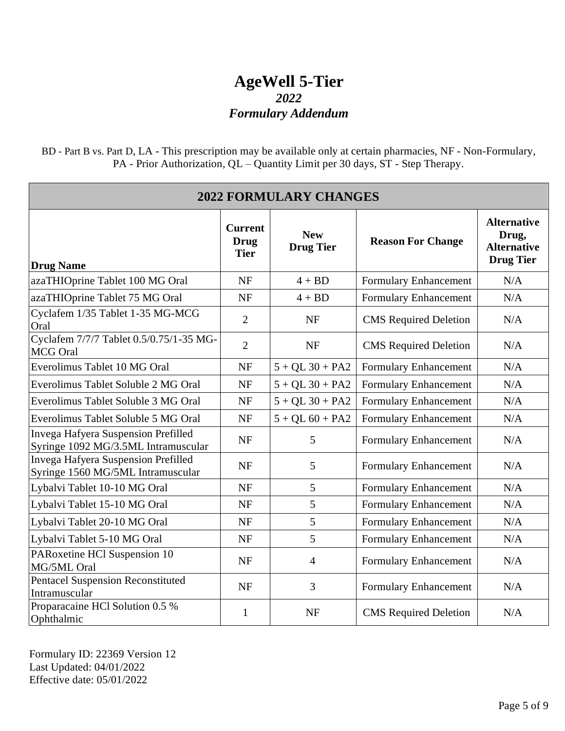BD - Part B vs. Part D, LA - This prescription may be available only at certain pharmacies, NF - Non-Formulary, PA - Prior Authorization, QL – Quantity Limit per 30 days, ST - Step Therapy.

| <b>2022 FORMULARY CHANGES</b>                                              |                                              |                                |                              |                                                                       |  |
|----------------------------------------------------------------------------|----------------------------------------------|--------------------------------|------------------------------|-----------------------------------------------------------------------|--|
| <b>Drug Name</b>                                                           | <b>Current</b><br><b>Drug</b><br><b>Tier</b> | <b>New</b><br><b>Drug Tier</b> | <b>Reason For Change</b>     | <b>Alternative</b><br>Drug,<br><b>Alternative</b><br><b>Drug Tier</b> |  |
| azaTHIOprine Tablet 100 MG Oral                                            | <b>NF</b>                                    | $4 + BD$                       | Formulary Enhancement        | N/A                                                                   |  |
| azaTHIOprine Tablet 75 MG Oral                                             | <b>NF</b>                                    | $4 + BD$                       | Formulary Enhancement        | N/A                                                                   |  |
| Cyclafem 1/35 Tablet 1-35 MG-MCG<br>Oral                                   | $\overline{2}$                               | <b>NF</b>                      | <b>CMS</b> Required Deletion | N/A                                                                   |  |
| Cyclafem 7/7/7 Tablet 0.5/0.75/1-35 MG-<br><b>MCG</b> Oral                 | $\overline{2}$                               | <b>NF</b>                      | <b>CMS</b> Required Deletion | N/A                                                                   |  |
| Everolimus Tablet 10 MG Oral                                               | <b>NF</b>                                    | $5 + QL$ 30 + PA2              | Formulary Enhancement        | N/A                                                                   |  |
| Everolimus Tablet Soluble 2 MG Oral                                        | <b>NF</b>                                    | $5 + QL$ 30 + PA2              | Formulary Enhancement        | N/A                                                                   |  |
| Everolimus Tablet Soluble 3 MG Oral                                        | <b>NF</b>                                    | $5 + QL$ 30 + PA2              | Formulary Enhancement        | N/A                                                                   |  |
| Everolimus Tablet Soluble 5 MG Oral                                        | <b>NF</b>                                    | $5 + QL 60 + PA2$              | Formulary Enhancement        | N/A                                                                   |  |
| Invega Hafyera Suspension Prefilled<br>Syringe 1092 MG/3.5ML Intramuscular | <b>NF</b>                                    | 5                              | Formulary Enhancement        | N/A                                                                   |  |
| Invega Hafyera Suspension Prefilled<br>Syringe 1560 MG/5ML Intramuscular   | <b>NF</b>                                    | 5                              | Formulary Enhancement        | N/A                                                                   |  |
| Lybalvi Tablet 10-10 MG Oral                                               | <b>NF</b>                                    | 5                              | Formulary Enhancement        | N/A                                                                   |  |
| Lybalvi Tablet 15-10 MG Oral                                               | <b>NF</b>                                    | 5                              | Formulary Enhancement        | N/A                                                                   |  |
| Lybalvi Tablet 20-10 MG Oral                                               | <b>NF</b>                                    | 5                              | Formulary Enhancement        | N/A                                                                   |  |
| Lybalvi Tablet 5-10 MG Oral                                                | <b>NF</b>                                    | 5                              | Formulary Enhancement        | N/A                                                                   |  |
| PARoxetine HCl Suspension 10<br>MG/5ML Oral                                | <b>NF</b>                                    | $\overline{4}$                 | Formulary Enhancement        | N/A                                                                   |  |
| <b>Pentacel Suspension Reconstituted</b><br>Intramuscular                  | <b>NF</b>                                    | 3                              | Formulary Enhancement        | N/A                                                                   |  |
| Proparacaine HCl Solution 0.5 %<br>Ophthalmic                              | $\mathbf{1}$                                 | <b>NF</b>                      | <b>CMS</b> Required Deletion | N/A                                                                   |  |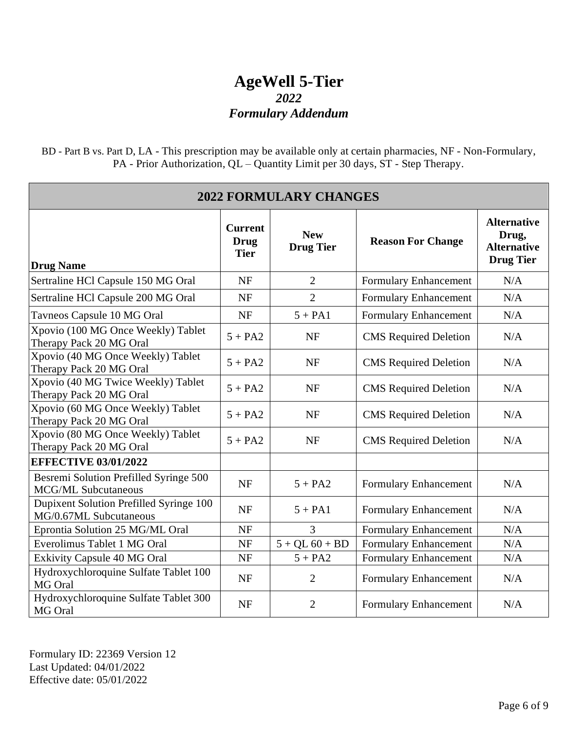BD - Part B vs. Part D, LA - This prescription may be available only at certain pharmacies, NF - Non-Formulary, PA - Prior Authorization, QL – Quantity Limit per 30 days, ST - Step Therapy.

| <b>2022 FORMULARY CHANGES</b>                                        |                                              |                                |                              |                                                                       |
|----------------------------------------------------------------------|----------------------------------------------|--------------------------------|------------------------------|-----------------------------------------------------------------------|
| <b>Drug Name</b>                                                     | <b>Current</b><br><b>Drug</b><br><b>Tier</b> | <b>New</b><br><b>Drug Tier</b> | <b>Reason For Change</b>     | <b>Alternative</b><br>Drug,<br><b>Alternative</b><br><b>Drug Tier</b> |
| Sertraline HCl Capsule 150 MG Oral                                   | <b>NF</b>                                    | $\overline{2}$                 | Formulary Enhancement        | N/A                                                                   |
| Sertraline HCl Capsule 200 MG Oral                                   | <b>NF</b>                                    | $\overline{2}$                 | Formulary Enhancement        | N/A                                                                   |
| Tavneos Capsule 10 MG Oral                                           | <b>NF</b>                                    | $5 + PA1$                      | Formulary Enhancement        | N/A                                                                   |
| Xpovio (100 MG Once Weekly) Tablet<br>Therapy Pack 20 MG Oral        | $5 + PA2$                                    | <b>NF</b>                      | <b>CMS</b> Required Deletion | N/A                                                                   |
| Xpovio (40 MG Once Weekly) Tablet<br>Therapy Pack 20 MG Oral         | $5 + PA2$                                    | <b>NF</b>                      | <b>CMS</b> Required Deletion | N/A                                                                   |
| Xpovio (40 MG Twice Weekly) Tablet<br>Therapy Pack 20 MG Oral        | $5 + PA2$                                    | <b>NF</b>                      | <b>CMS</b> Required Deletion | N/A                                                                   |
| Xpovio (60 MG Once Weekly) Tablet<br>Therapy Pack 20 MG Oral         | $5 + PA2$                                    | <b>NF</b>                      | <b>CMS</b> Required Deletion | N/A                                                                   |
| Xpovio (80 MG Once Weekly) Tablet<br>Therapy Pack 20 MG Oral         | $5 + PA2$                                    | <b>NF</b>                      | <b>CMS</b> Required Deletion | N/A                                                                   |
| <b>EFFECTIVE 03/01/2022</b>                                          |                                              |                                |                              |                                                                       |
| Besremi Solution Prefilled Syringe 500<br><b>MCG/ML Subcutaneous</b> | <b>NF</b>                                    | $5 + PA2$                      | Formulary Enhancement        | N/A                                                                   |
| Dupixent Solution Prefilled Syringe 100<br>MG/0.67ML Subcutaneous    | <b>NF</b>                                    | $5 + PA1$                      | Formulary Enhancement        | N/A                                                                   |
| Eprontia Solution 25 MG/ML Oral                                      | <b>NF</b>                                    | $\overline{3}$                 | Formulary Enhancement        | N/A                                                                   |
| Everolimus Tablet 1 MG Oral                                          | <b>NF</b>                                    | $5 + QL 60 + BD$               | <b>Formulary Enhancement</b> | N/A                                                                   |
| <b>Exkivity Capsule 40 MG Oral</b>                                   | <b>NF</b>                                    | $5 + PA2$                      | Formulary Enhancement        | N/A                                                                   |
| Hydroxychloroquine Sulfate Tablet 100<br>MG Oral                     | <b>NF</b>                                    | $\overline{2}$                 | <b>Formulary Enhancement</b> | N/A                                                                   |
| Hydroxychloroquine Sulfate Tablet 300<br>MG Oral                     | <b>NF</b>                                    | $\overline{2}$                 | Formulary Enhancement        | N/A                                                                   |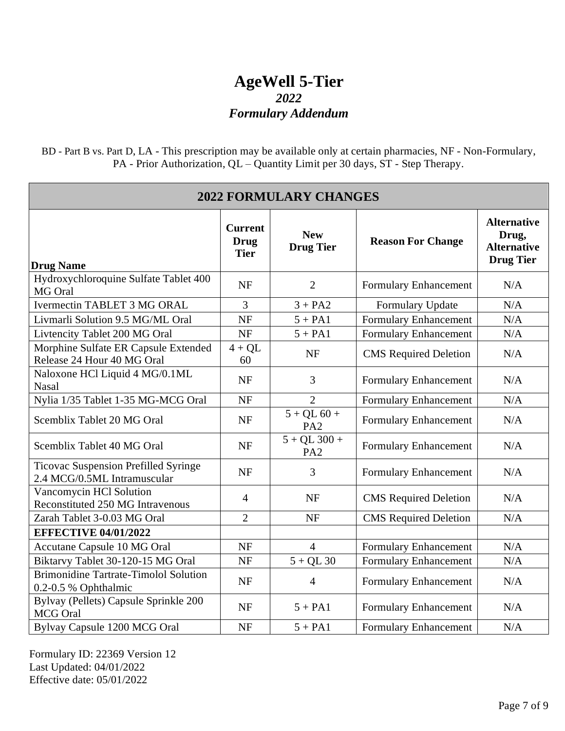BD - Part B vs. Part D, LA - This prescription may be available only at certain pharmacies, NF - Non-Formulary, PA - Prior Authorization, QL – Quantity Limit per 30 days, ST - Step Therapy.

| <b>2022 FORMULARY CHANGES</b>                                              |                                              |                                   |                              |                                                                       |
|----------------------------------------------------------------------------|----------------------------------------------|-----------------------------------|------------------------------|-----------------------------------------------------------------------|
| <b>Drug Name</b>                                                           | <b>Current</b><br><b>Drug</b><br><b>Tier</b> | <b>New</b><br><b>Drug Tier</b>    | <b>Reason For Change</b>     | <b>Alternative</b><br>Drug,<br><b>Alternative</b><br><b>Drug Tier</b> |
| Hydroxychloroquine Sulfate Tablet 400<br>MG Oral                           | <b>NF</b>                                    | $\overline{2}$                    | Formulary Enhancement        | N/A                                                                   |
| <b>Ivermectin TABLET 3 MG ORAL</b>                                         | 3                                            | $3 + PA2$                         | Formulary Update             | $\rm N/A$                                                             |
| Livmarli Solution 9.5 MG/ML Oral                                           | <b>NF</b>                                    | $5 + PA1$                         | <b>Formulary Enhancement</b> | N/A                                                                   |
| Livtencity Tablet 200 MG Oral                                              | <b>NF</b>                                    | $5 + PA1$                         | <b>Formulary Enhancement</b> | N/A                                                                   |
| Morphine Sulfate ER Capsule Extended<br>Release 24 Hour 40 MG Oral         | $4 + QL$<br>60                               | <b>NF</b>                         | <b>CMS</b> Required Deletion | N/A                                                                   |
| Naloxone HCl Liquid 4 MG/0.1ML<br>Nasal                                    | <b>NF</b>                                    | $\overline{3}$                    | Formulary Enhancement        | N/A                                                                   |
| Nylia 1/35 Tablet 1-35 MG-MCG Oral                                         | <b>NF</b>                                    | $\overline{2}$                    | Formulary Enhancement        | N/A                                                                   |
| Scemblix Tablet 20 MG Oral                                                 | <b>NF</b>                                    | $5 + QL 60 +$<br>PA <sub>2</sub>  | Formulary Enhancement        | N/A                                                                   |
| Scemblix Tablet 40 MG Oral                                                 | <b>NF</b>                                    | $5 + QL$ 300 +<br>PA <sub>2</sub> | Formulary Enhancement        | N/A                                                                   |
| <b>Ticovac Suspension Prefilled Syringe</b><br>2.4 MCG/0.5ML Intramuscular | <b>NF</b>                                    | $\overline{3}$                    | Formulary Enhancement        | N/A                                                                   |
| Vancomycin HCl Solution<br><b>Reconstituted 250 MG Intravenous</b>         | $\overline{4}$                               | <b>NF</b>                         | <b>CMS</b> Required Deletion | N/A                                                                   |
| Zarah Tablet 3-0.03 MG Oral                                                | $\overline{2}$                               | <b>NF</b>                         | <b>CMS</b> Required Deletion | N/A                                                                   |
| <b>EFFECTIVE 04/01/2022</b>                                                |                                              |                                   |                              |                                                                       |
| Accutane Capsule 10 MG Oral                                                | <b>NF</b>                                    | $\overline{4}$                    | Formulary Enhancement        | N/A                                                                   |
| Biktarvy Tablet 30-120-15 MG Oral                                          | <b>NF</b>                                    | $5 + QL30$                        | Formulary Enhancement        | N/A                                                                   |
| <b>Brimonidine Tartrate-Timolol Solution</b><br>0.2-0.5 % Ophthalmic       | <b>NF</b>                                    | $\overline{4}$                    | Formulary Enhancement        | N/A                                                                   |
| Bylvay (Pellets) Capsule Sprinkle 200<br><b>MCG</b> Oral                   | <b>NF</b>                                    | $5 + PA1$                         | Formulary Enhancement        | N/A                                                                   |
| Bylvay Capsule 1200 MCG Oral                                               | <b>NF</b>                                    | $5 + PA1$                         | Formulary Enhancement        | N/A                                                                   |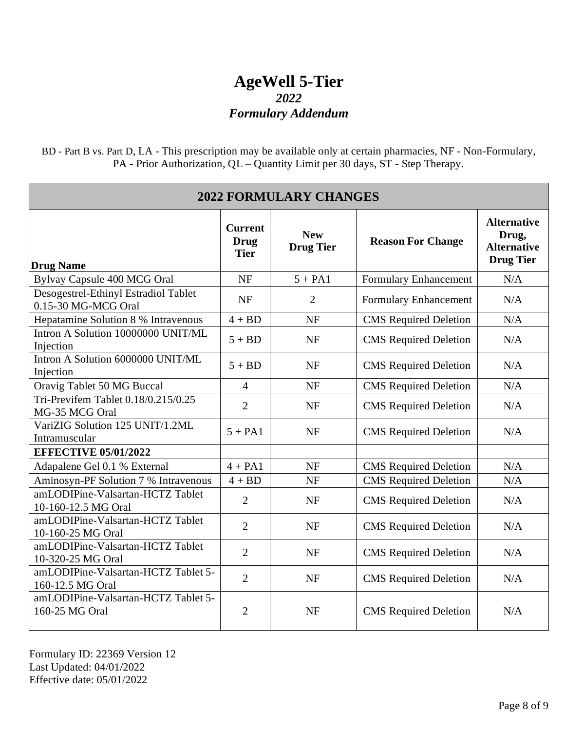BD - Part B vs. Part D, LA - This prescription may be available only at certain pharmacies, NF - Non-Formulary, PA - Prior Authorization, QL – Quantity Limit per 30 days, ST - Step Therapy.

| <b>2022 FORMULARY CHANGES</b>                               |                                              |                                |                              |                                                                       |
|-------------------------------------------------------------|----------------------------------------------|--------------------------------|------------------------------|-----------------------------------------------------------------------|
| <b>Drug Name</b>                                            | <b>Current</b><br><b>Drug</b><br><b>Tier</b> | <b>New</b><br><b>Drug Tier</b> | <b>Reason For Change</b>     | <b>Alternative</b><br>Drug,<br><b>Alternative</b><br><b>Drug Tier</b> |
| Bylvay Capsule 400 MCG Oral                                 | <b>NF</b>                                    | $5 + PA1$                      | Formulary Enhancement        | N/A                                                                   |
| Desogestrel-Ethinyl Estradiol Tablet<br>0.15-30 MG-MCG Oral | <b>NF</b>                                    | $\overline{2}$                 | Formulary Enhancement        | N/A                                                                   |
| Hepatamine Solution 8 % Intravenous                         | $4 + BD$                                     | <b>NF</b>                      | <b>CMS</b> Required Deletion | N/A                                                                   |
| Intron A Solution 10000000 UNIT/ML<br>Injection             | $5 + BD$                                     | <b>NF</b>                      | <b>CMS</b> Required Deletion | N/A                                                                   |
| Intron A Solution 6000000 UNIT/ML<br>Injection              | $5 + BD$                                     | <b>NF</b>                      | <b>CMS</b> Required Deletion | N/A                                                                   |
| Oravig Tablet 50 MG Buccal                                  | $\overline{4}$                               | <b>NF</b>                      | <b>CMS</b> Required Deletion | N/A                                                                   |
| Tri-Previfem Tablet 0.18/0.215/0.25<br>MG-35 MCG Oral       | $\overline{2}$                               | <b>NF</b>                      | <b>CMS</b> Required Deletion | N/A                                                                   |
| VariZIG Solution 125 UNIT/1.2ML<br>Intramuscular            | $5 + PA1$                                    | <b>NF</b>                      | <b>CMS</b> Required Deletion | N/A                                                                   |
| <b>EFFECTIVE 05/01/2022</b>                                 |                                              |                                |                              |                                                                       |
| Adapalene Gel 0.1 % External                                | $4 + PA1$                                    | <b>NF</b>                      | <b>CMS</b> Required Deletion | N/A                                                                   |
| Aminosyn-PF Solution 7 % Intravenous                        | $4 + BD$                                     | <b>NF</b>                      | <b>CMS</b> Required Deletion | N/A                                                                   |
| amLODIPine-Valsartan-HCTZ Tablet<br>10-160-12.5 MG Oral     | $\overline{2}$                               | <b>NF</b>                      | <b>CMS</b> Required Deletion | N/A                                                                   |
| amLODIPine-Valsartan-HCTZ Tablet<br>10-160-25 MG Oral       | $\overline{2}$                               | <b>NF</b>                      | <b>CMS</b> Required Deletion | N/A                                                                   |
| amLODIPine-Valsartan-HCTZ Tablet<br>10-320-25 MG Oral       | $\overline{2}$                               | <b>NF</b>                      | <b>CMS</b> Required Deletion | N/A                                                                   |
| amLODIPine-Valsartan-HCTZ Tablet 5-<br>160-12.5 MG Oral     | $\overline{2}$                               | <b>NF</b>                      | <b>CMS</b> Required Deletion | N/A                                                                   |
| amLODIPine-Valsartan-HCTZ Tablet 5-<br>160-25 MG Oral       | $\overline{2}$                               | <b>NF</b>                      | <b>CMS</b> Required Deletion | N/A                                                                   |